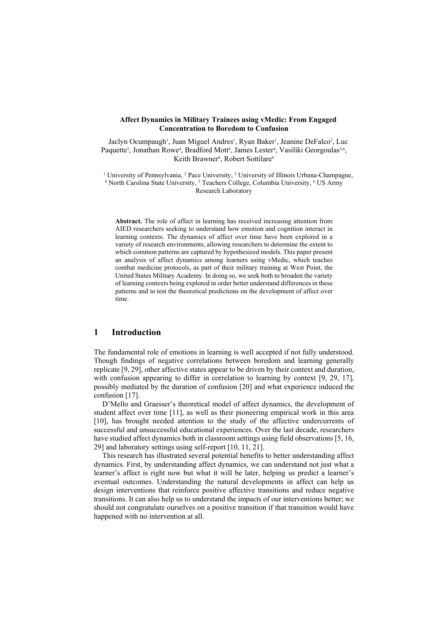#### **Affect Dynamics in Military Trainees using vMedic: From Engaged Concentration to Boredom to Confusion**

Jaclyn Ocumpaugh<sup>1</sup>, Juan Miguel Andres<sup>1</sup>, Ryan Baker<sup>1</sup>, Jeanine DeFalco<sup>2</sup>, Luc Paquette<sup>3</sup>, Jonathan Rowe<sup>4</sup>, Bradford Mott<sup>4</sup>, James Lester<sup>4</sup>, Vasiliki Georgoulas<sup>5,6</sup>, Keith Brawner<sup>6</sup>, Robert Sottilare<sup>6</sup>

<sup>1</sup> University of Pennsylvania,  $^2$  Pace University,  $^3$  University of Illinois Urbana-Champagne, <sup>4</sup> North Carolina State University, <sup>5</sup> Teachers College, Columbia University, <sup>6</sup> US Army Research Laboratory

**Abstract.** The role of affect in learning has received increasing attention from AIED researchers seeking to understand how emotion and cognition interact in learning contexts. The dynamics of affect over time have been explored in a variety of research environments, allowing researchers to determine the extent to which common patterns are captured by hypothesized models. This paper present an analysis of affect dynamics among learners using vMedic, which teaches combat medicine protocols, as part of their military training at West Point, the United States Military Academy. In doing so, we seek both to broaden the variety of learning contexts being explored in order better understand differences in these patterns and to test the theoretical predictions on the development of affect over time.

# **1 Introduction**

The fundamental role of emotions in learning is well accepted if not fully understood. Though findings of negative correlations between boredom and learning generally replicate [9, 29], other affective states appear to be driven by their context and duration, with confusion appearing to differ in correlation to learning by context [9, 29, 17], possibly mediated by the duration of confusion [20] and what experience induced the confusion [17].

D'Mello and Graesser's theoretical model of affect dynamics, the development of student affect over time [11], as well as their pioneering empirical work in this area [10], has brought needed attention to the study of the affective undercurrents of successful and unsuccessful educational experiences. Over the last decade, researchers have studied affect dynamics both in classroom settings using field observations [5, 16, 29] and laboratory settings using self-report [10, 11, 21].

This research has illustrated several potential benefits to better understanding affect dynamics. First, by understanding affect dynamics, we can understand not just what a learner's affect is right now but what it will be later, helping us predict a learner's eventual outcomes. Understanding the natural developments in affect can help us design interventions that reinforce positive affective transitions and reduce negative transitions. It can also help us to understand the impacts of our interventions better; we should not congratulate ourselves on a positive transition if that transition would have happened with no intervention at all.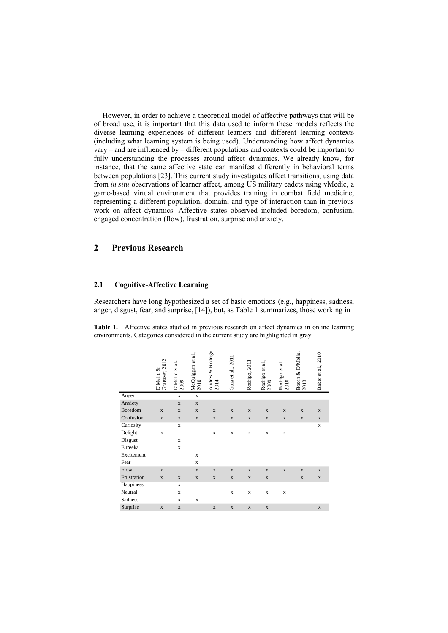However, in order to achieve a theoretical model of affective pathways that will be of broad use, it is important that this data used to inform these models reflects the diverse learning experiences of different learners and different learning contexts (including what learning system is being used). Understanding how affect dynamics vary – and are influenced by – different populations and contexts could be important to fully understanding the processes around affect dynamics. We already know, for instance, that the same affective state can manifest differently in behavioral terms between populations [23]. This current study investigates affect transitions, using data from *in situ* observations of learner affect, among US military cadets using vMedic, a game-based virtual environment that provides training in combat field medicine, representing a different population, domain, and type of interaction than in previous work on affect dynamics. Affective states observed included boredom, confusion, engaged concentration (flow), frustration, surprise and anxiety.

# **2 Previous Research**

### **2.1 Cognitive-Affective Learning**

Researchers have long hypothesized a set of basic emotions (e.g., happiness, sadness, anger, disgust, fear, and surprise, [14]), but, as Table 1 summarizes, those working in

**Table 1.** Affective states studied in previous research on affect dynamics in online learning environments. Categories considered in the current study are highlighted in gray.

|             | Graesser, 2012<br>D'Mello & | D'Mello et al.,<br>2009 | McQuiggan et al.,<br>2010 | Andres & Rodrigo<br>2014 | Guia et al., 2011 | Rodrigo, 2011 | Rodrigo et al.,<br>2009 | Rodrigo et al.,<br>2010 | Bosch & D'Mello,<br>2013 | Baker et al., 2010 |
|-------------|-----------------------------|-------------------------|---------------------------|--------------------------|-------------------|---------------|-------------------------|-------------------------|--------------------------|--------------------|
| Anger       |                             | $\mathbf x$             | $\mathbf x$               |                          |                   |               |                         |                         |                          |                    |
| Anxiety     |                             | $\mathbf X$             | $\mathbf X$               |                          |                   |               |                         |                         |                          |                    |
| Boredom     | $\mathbf X$                 | $\mathbf X$             | $\mathbf X$               | $\mathbf X$              | $\mathbf X$       | $\mathbf X$   | $\mathbf X$             | $\mathbf X$             | $\mathbf X$              | $\mathbf X$        |
| Confusion   | $\mathbf X$                 | $\mathbf X$             | $\mathbf X$               | $\mathbf X$              | $\mathbf X$       | $\mathbf X$   | $\mathbf X$             | $\mathbf X$             | $\mathbf X$              | $\mathbf X$        |
| Curiosity   |                             | $\mathbf x$             |                           |                          |                   |               |                         |                         |                          | X                  |
| Delight     | $\mathbf x$                 |                         |                           | X                        | $\mathbf X$       | X             | $\mathbf x$             | $\mathbf x$             |                          |                    |
| Disgust     |                             | $\mathbf x$             |                           |                          |                   |               |                         |                         |                          |                    |
| Eureeka     |                             | $\mathbf x$             |                           |                          |                   |               |                         |                         |                          |                    |
| Excitement  |                             |                         | X                         |                          |                   |               |                         |                         |                          |                    |
| Fear        |                             |                         | $\mathbf x$               |                          |                   |               |                         |                         |                          |                    |
| Flow        | $\mathbf{x}$                |                         | $\mathbf X$               | $\mathbf X$              | $\mathbf X$       | $\mathbf X$   | $\mathbf X$             | $\mathbf X$             | $\mathbf X$              | $\mathbf X$        |
| Frustration | $\mathbf X$                 | $\mathbf X$             | $\mathbf X$               | $\mathbf X$              | $\mathbf X$       | $\mathbf X$   | $\mathbf X$             |                         | $\mathbf X$              | $\mathbf X$        |
| Happiness   |                             | $\mathbf x$             |                           |                          |                   |               |                         |                         |                          |                    |
| Neutral     |                             | $\mathbf x$             |                           |                          | $\mathbf X$       | $\mathbf x$   | X                       | $\mathbf x$             |                          |                    |
| Sadness     |                             | X                       | X                         |                          |                   |               |                         |                         |                          |                    |
| Surprise    | $\mathbf X$                 | $\mathbf X$             |                           | $\mathbf X$              | $\mathbf X$       | $\mathbf X$   | $\mathbf X$             |                         |                          | $\mathbf X$        |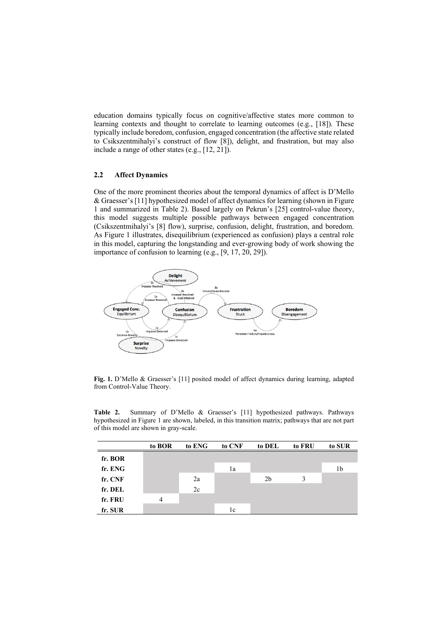education domains typically focus on cognitive/affective states more common to learning contexts and thought to correlate to learning outcomes (e.g., [18]). These typically include boredom, confusion, engaged concentration (the affective state related to Csikszentmihalyi's construct of flow [8]), delight, and frustration, but may also include a range of other states (e.g., [12, 21]).

#### **2.2 Affect Dynamics**

One of the more prominent theories about the temporal dynamics of affect is D'Mello & Graesser's [11] hypothesized model of affect dynamics for learning (shown in Figure 1 and summarized in Table 2). Based largely on Pekrun's [25] control-value theory, this model suggests multiple possible pathways between engaged concentration (Csikszentmihalyi's [8] flow), surprise, confusion, delight, frustration, and boredom. As Figure 1 illustrates, disequilibrium (experienced as confusion) plays a central role in this model, capturing the longstanding and ever-growing body of work showing the importance of confusion to learning (e.g., [9, 17, 20, 29]).



**Fig. 1.** D'Mello & Graesser's [11] posited model of affect dynamics during learning, adapted from Control-Value Theory.

**Table 2.** Summary of D'Mello & Graesser's [11] hypothesized pathways. Pathways hypothesized in Figure 1 are shown, labeled, in this transition matrix; pathways that are not part of this model are shown in gray-scale.

|         | to BOR         | to ENG | to CNF | to DEL         | to FRU | to SUR |
|---------|----------------|--------|--------|----------------|--------|--------|
| fr. BOR |                |        |        |                |        |        |
| fr. ENG |                |        | 1a     |                |        | 1b     |
| fr. CNF |                | 2a     |        | 2 <sub>b</sub> | 3      |        |
| fr. DEL |                | 2c     |        |                |        |        |
| fr. FRU | $\overline{4}$ |        |        |                |        |        |
| fr. SUR |                |        | 1c     |                |        |        |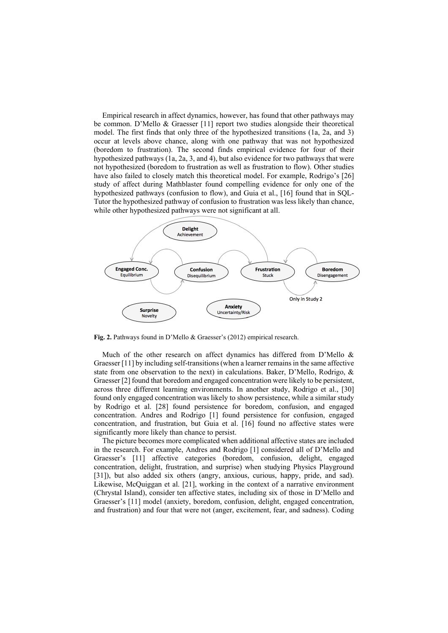Empirical research in affect dynamics, however, has found that other pathways may be common. D'Mello & Graesser [11] report two studies alongside their theoretical model. The first finds that only three of the hypothesized transitions (1a, 2a, and 3) occur at levels above chance, along with one pathway that was not hypothesized (boredom to frustration). The second finds empirical evidence for four of their hypothesized pathways (1a, 2a, 3, and 4), but also evidence for two pathways that were not hypothesized (boredom to frustration as well as frustration to flow). Other studies have also failed to closely match this theoretical model. For example, Rodrigo's [26] study of affect during Mathblaster found compelling evidence for only one of the hypothesized pathways (confusion to flow), and Guia et al., [16] found that in SQL-Tutor the hypothesized pathway of confusion to frustration was less likely than chance, while other hypothesized pathways were not significant at all.



**Fig. 2.** Pathways found in D'Mello & Graesser's (2012) empirical research.

Much of the other research on affect dynamics has differed from D'Mello & Graesser [11] by including self-transitions (when a learner remains in the same affective state from one observation to the next) in calculations. Baker, D'Mello, Rodrigo, & Graesser [2] found that boredom and engaged concentration were likely to be persistent, across three different learning environments. In another study, Rodrigo et al., [30] found only engaged concentration was likely to show persistence, while a similar study by Rodrigo et al. [28] found persistence for boredom, confusion, and engaged concentration. Andres and Rodrigo [1] found persistence for confusion, engaged concentration, and frustration, but Guia et al. [16] found no affective states were significantly more likely than chance to persist.

The picture becomes more complicated when additional affective states are included in the research. For example, Andres and Rodrigo [1] considered all of D'Mello and Graesser's [11] affective categories (boredom, confusion, delight, engaged concentration, delight, frustration, and surprise) when studying Physics Playground [31]), but also added six others (angry, anxious, curious, happy, pride, and sad). Likewise, McQuiggan et al. [21], working in the context of a narrative environment (Chrystal Island), consider ten affective states, including six of those in D'Mello and Graesser's [11] model (anxiety, boredom, confusion, delight, engaged concentration, and frustration) and four that were not (anger, excitement, fear, and sadness). Coding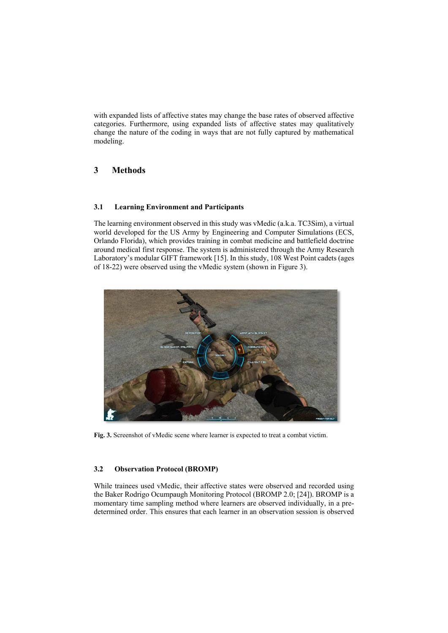with expanded lists of affective states may change the base rates of observed affective categories. Furthermore, using expanded lists of affective states may qualitatively change the nature of the coding in ways that are not fully captured by mathematical modeling.

# **3 Methods**

### **3.1 Learning Environment and Participants**

The learning environment observed in this study was vMedic (a.k.a. TC3Sim), a virtual world developed for the US Army by Engineering and Computer Simulations (ECS, Orlando Florida), which provides training in combat medicine and battlefield doctrine around medical first response. The system is administered through the Army Research Laboratory's modular GIFT framework [15]. In this study, 108 West Point cadets (ages of 18-22) were observed using the vMedic system (shown in Figure 3).



**Fig. 3.** Screenshot of vMedic scene where learner is expected to treat a combat victim.

## **3.2 Observation Protocol (BROMP)**

While trainees used vMedic, their affective states were observed and recorded using the Baker Rodrigo Ocumpaugh Monitoring Protocol (BROMP 2.0; [24]). BROMP is a momentary time sampling method where learners are observed individually, in a predetermined order. This ensures that each learner in an observation session is observed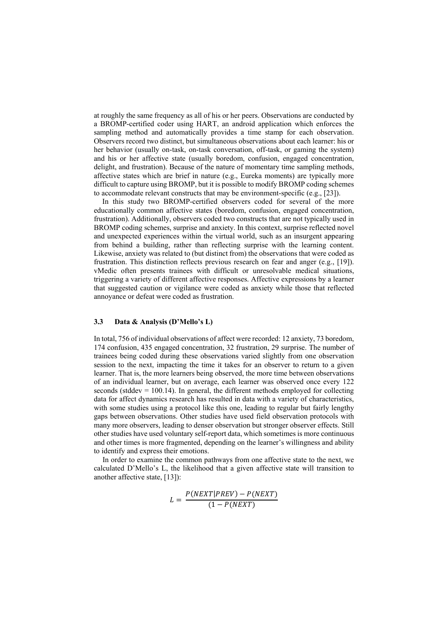at roughly the same frequency as all of his or her peers. Observations are conducted by a BROMP-certified coder using HART, an android application which enforces the sampling method and automatically provides a time stamp for each observation. Observers record two distinct, but simultaneous observations about each learner: his or her behavior (usually on-task, on-task conversation, off-task, or gaming the system) and his or her affective state (usually boredom, confusion, engaged concentration, delight, and frustration). Because of the nature of momentary time sampling methods, affective states which are brief in nature (e.g., Eureka moments) are typically more difficult to capture using BROMP, but it is possible to modify BROMP coding schemes to accommodate relevant constructs that may be environment-specific (e.g., [23]).

In this study two BROMP-certified observers coded for several of the more educationally common affective states (boredom, confusion, engaged concentration, frustration). Additionally, observers coded two constructs that are not typically used in BROMP coding schemes, surprise and anxiety. In this context, surprise reflected novel and unexpected experiences within the virtual world, such as an insurgent appearing from behind a building, rather than reflecting surprise with the learning content. Likewise, anxiety was related to (but distinct from) the observations that were coded as frustration. This distinction reflects previous research on fear and anger (e.g., [19]). vMedic often presents trainees with difficult or unresolvable medical situations, triggering a variety of different affective responses. Affective expressions by a learner that suggested caution or vigilance were coded as anxiety while those that reflected annoyance or defeat were coded as frustration.

#### **3.3 Data & Analysis (D'Mello's L)**

In total, 756 of individual observations of affect were recorded: 12 anxiety, 73 boredom, 174 confusion, 435 engaged concentration, 32 frustration, 29 surprise. The number of trainees being coded during these observations varied slightly from one observation session to the next, impacting the time it takes for an observer to return to a given learner. That is, the more learners being observed, the more time between observations of an individual learner, but on average, each learner was observed once every 122 seconds (stddev  $= 100.14$ ). In general, the different methods employed for collecting data for affect dynamics research has resulted in data with a variety of characteristics, with some studies using a protocol like this one, leading to regular but fairly lengthy gaps between observations. Other studies have used field observation protocols with many more observers, leading to denser observation but stronger observer effects. Still other studies have used voluntary self-report data, which sometimes is more continuous and other times is more fragmented, depending on the learner's willingness and ability to identify and express their emotions.

In order to examine the common pathways from one affective state to the next, we calculated D'Mello's L, the likelihood that a given affective state will transition to another affective state, [13]):

$$
L = \frac{P(NEXT|PREV) - P(NEXT)}{(1 - P(NEXT))}
$$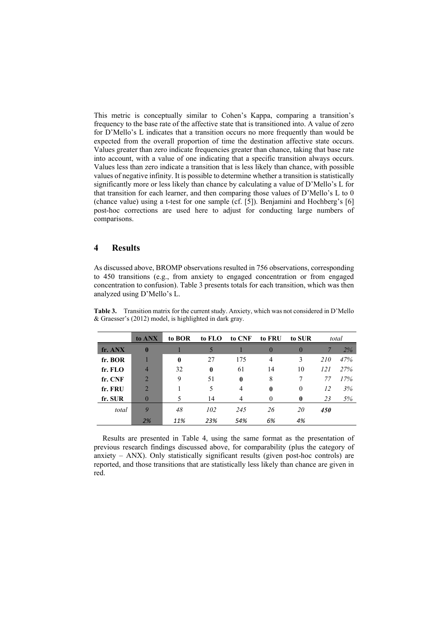This metric is conceptually similar to Cohen's Kappa, comparing a transition's frequency to the base rate of the affective state that is transitioned into. A value of zero for D'Mello's L indicates that a transition occurs no more frequently than would be expected from the overall proportion of time the destination affective state occurs. Values greater than zero indicate frequencies greater than chance, taking that base rate into account, with a value of one indicating that a specific transition always occurs. Values less than zero indicate a transition that is less likely than chance, with possible values of negative infinity. It is possible to determine whether a transition is statistically significantly more or less likely than chance by calculating a value of D'Mello's L for that transition for each learner, and then comparing those values of D'Mello's L to 0 (chance value) using a t-test for one sample (cf. [5]). Benjamini and Hochberg's [6] post-hoc corrections are used here to adjust for conducting large numbers of comparisons.

# **4 Results**

As discussed above, BROMP observations resulted in 756 observations, corresponding to 450 transitions (e.g., from anxiety to engaged concentration or from engaged concentration to confusion). Table 3 presents totals for each transition, which was then analyzed using D'Mello's L.

|         | to ANX         | to BOR       | to FLO       | to CNF       | to FRU       | to SUR       |            | total |
|---------|----------------|--------------|--------------|--------------|--------------|--------------|------------|-------|
| fr. ANX | $\bf{0}$       |              |              |              | $\mathbf{0}$ | $\theta$     |            | 2%    |
| fr. BOR |                | $\mathbf{0}$ | 27           | 175          | 4            | 3            | <i>210</i> | 47%   |
| fr. FLO | $\overline{4}$ | 32           | $\mathbf{0}$ | 61           | 14           | 10           | 121        | 27%   |
| fr. CNF | $\overline{2}$ | 9            | 51           | $\mathbf{0}$ | 8            |              | 77         | 17%   |
| fr. FRU | $\overline{2}$ |              |              | 4            | $\bf{0}$     | $\theta$     | 12         | 3%    |
| fr. SUR | $\theta$       | 5            | 14           | 4            | 0            | $\mathbf{0}$ | 23         | 5%    |
| total   | 9              | 48           | 102          | 245          | 26           | 20           | 450        |       |
|         | 2%             | 11%          | 23%          | 54%          | 6%           | 4%           |            |       |

**Table 3.** Transition matrix for the current study. Anxiety, which was not considered in D'Mello & Graesser's (2012) model, is highlighted in dark gray.

Results are presented in Table 4, using the same format as the presentation of previous research findings discussed above, for comparability (plus the category of anxiety – ANX). Only statistically significant results (given post-hoc controls) are reported, and those transitions that are statistically less likely than chance are given in red.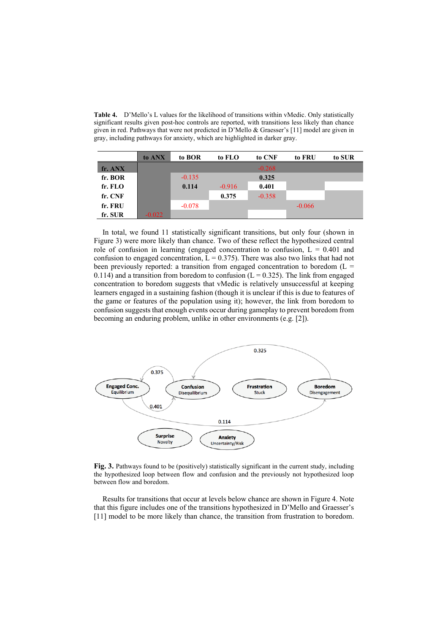**Table 4.** D'Mello's L values for the likelihood of transitions within vMedic. Only statistically significant results given post-hoc controls are reported, with transitions less likely than chance given in red. Pathways that were not predicted in D'Mello & Graesser's [11] model are given in gray, including pathways for anxiety, which are highlighted in darker gray.

|         | to ANX   | to BOR   | to FLO   | to CNF   | to FRU   | to SUR |
|---------|----------|----------|----------|----------|----------|--------|
| fr. ANX |          |          |          | $-0.268$ |          |        |
| fr. BOR |          | $-0.135$ |          | 0.325    |          |        |
| fr. FLO |          | 0.114    | $-0.916$ | 0.401    |          |        |
| fr. CNF |          |          | 0.375    | $-0.358$ |          |        |
| fr. FRU |          | $-0.078$ |          |          | $-0.066$ |        |
| fr. SUR | $-0.022$ |          |          |          |          |        |

In total, we found 11 statistically significant transitions, but only four (shown in Figure 3) were more likely than chance. Two of these reflect the hypothesized central role of confusion in learning (engaged concentration to confusion,  $L = 0.401$  and confusion to engaged concentration,  $L = 0.375$ ). There was also two links that had not been previously reported: a transition from engaged concentration to boredom  $(L =$ 0.114) and a transition from boredom to confusion ( $L = 0.325$ ). The link from engaged concentration to boredom suggests that vMedic is relatively unsuccessful at keeping learners engaged in a sustaining fashion (though it is unclear if this is due to features of the game or features of the population using it); however, the link from boredom to confusion suggests that enough events occur during gameplay to prevent boredom from becoming an enduring problem, unlike in other environments (e.g. [2]).



**Fig. 3.** Pathways found to be (positively) statistically significant in the current study, including the hypothesized loop between flow and confusion and the previously not hypothesized loop between flow and boredom.

Results for transitions that occur at levels below chance are shown in Figure 4. Note that this figure includes one of the transitions hypothesized in D'Mello and Graesser's [11] model to be more likely than chance, the transition from frustration to boredom.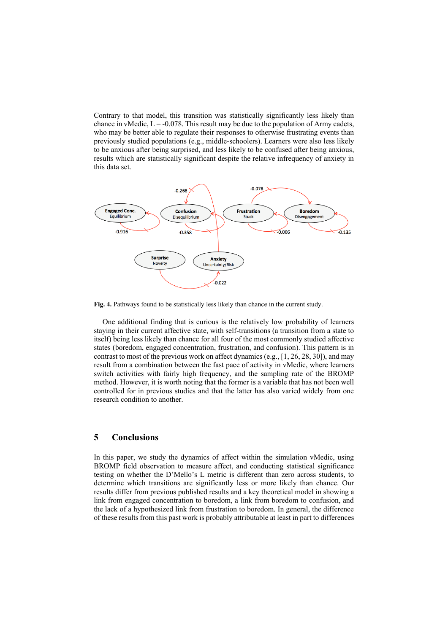Contrary to that model, this transition was statistically significantly less likely than chance in vMedic,  $L = -0.078$ . This result may be due to the population of Army cadets, who may be better able to regulate their responses to otherwise frustrating events than previously studied populations (e.g., middle-schoolers). Learners were also less likely to be anxious after being surprised, and less likely to be confused after being anxious, results which are statistically significant despite the relative infrequency of anxiety in this data set.



**Fig. 4.** Pathways found to be statistically less likely than chance in the current study.

One additional finding that is curious is the relatively low probability of learners staying in their current affective state, with self-transitions (a transition from a state to itself) being less likely than chance for all four of the most commonly studied affective states (boredom, engaged concentration, frustration, and confusion). This pattern is in contrast to most of the previous work on affect dynamics (e.g., [1, 26, 28, 30]), and may result from a combination between the fast pace of activity in vMedic, where learners switch activities with fairly high frequency, and the sampling rate of the BROMP method. However, it is worth noting that the former is a variable that has not been well controlled for in previous studies and that the latter has also varied widely from one research condition to another.

# **5 Conclusions**

In this paper, we study the dynamics of affect within the simulation vMedic, using BROMP field observation to measure affect, and conducting statistical significance testing on whether the D'Mello's L metric is different than zero across students, to determine which transitions are significantly less or more likely than chance. Our results differ from previous published results and a key theoretical model in showing a link from engaged concentration to boredom, a link from boredom to confusion, and the lack of a hypothesized link from frustration to boredom. In general, the difference of these results from this past work is probably attributable at least in part to differences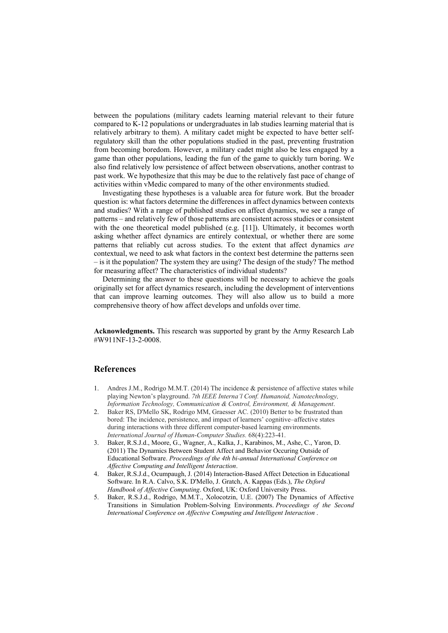between the populations (military cadets learning material relevant to their future compared to K-12 populations or undergraduates in lab studies learning material that is relatively arbitrary to them). A military cadet might be expected to have better selfregulatory skill than the other populations studied in the past, preventing frustration from becoming boredom. However, a military cadet might also be less engaged by a game than other populations, leading the fun of the game to quickly turn boring. We also find relatively low persistence of affect between observations, another contrast to past work. We hypothesize that this may be due to the relatively fast pace of change of activities within vMedic compared to many of the other environments studied.

Investigating these hypotheses is a valuable area for future work. But the broader question is: what factors determine the differences in affect dynamics between contexts and studies? With a range of published studies on affect dynamics, we see a range of patterns – and relatively few of those patterns are consistent across studies or consistent with the one theoretical model published (e.g.  $[11]$ ). Ultimately, it becomes worth asking whether affect dynamics are entirely contextual, or whether there are some patterns that reliably cut across studies. To the extent that affect dynamics *are* contextual, we need to ask what factors in the context best determine the patterns seen – is it the population? The system they are using? The design of the study? The method for measuring affect? The characteristics of individual students?

Determining the answer to these questions will be necessary to achieve the goals originally set for affect dynamics research, including the development of interventions that can improve learning outcomes. They will also allow us to build a more comprehensive theory of how affect develops and unfolds over time.

**Acknowledgments.** This research was supported by grant by the Army Research Lab #W911NF-13-2-0008.

### **References**

- 1. Andres J.M., Rodrigo M.M.T. (2014) The incidence & persistence of affective states while playing Newton's playground. *7th IEEE Interna'l Conf. Humanoid, Nanotechnology, Information Technology, Communication & Control, Environment, & Management*.
- 2. Baker RS, D'Mello SK, Rodrigo MM, Graesser AC. (2010) Better to be frustrated than bored: The incidence, persistence, and impact of learners' cognitive–affective states during interactions with three different computer-based learning environments. *International Journal of Human-Computer Studies.* 68(4):223-41.
- 3. Baker, R.S.J.d., Moore, G., Wagner, A., Kalka, J., Karabinos, M., Ashe, C., Yaron, D. (2011) The Dynamics Between Student Affect and Behavior Occuring Outside of Educational Software. *Proceedings of the 4th bi-annual International Conference on Affective Computing and Intelligent Interaction*.
- 4. Baker, R.S.J.d., Ocumpaugh, J. (2014) Interaction-Based Affect Detection in Educational Software. In R.A. Calvo, S.K. D'Mello, J. Gratch, A. Kappas (Eds.), *The Oxford Handbook of Affective Computing*. Oxford, UK: Oxford University Press.
- 5. Baker, R.S.J.d., Rodrigo, M.M.T., Xolocotzin, U.E. (2007) The Dynamics of Affective Transitions in Simulation Problem-Solving Environments. *Proceedings of the Second International Conference on Affective Computing and Intelligent Interaction* .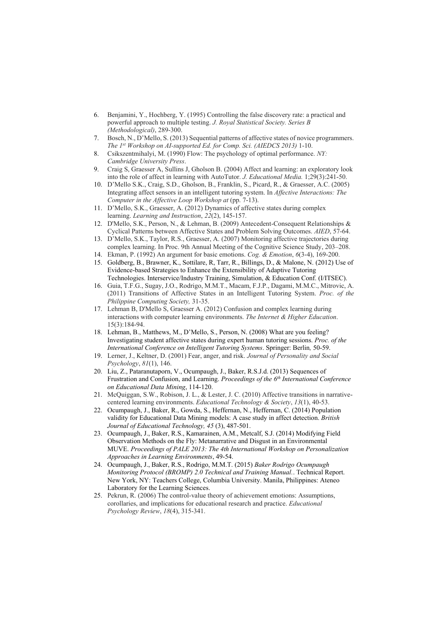- 6. Benjamini, Y., Hochberg, Y. (1995) Controlling the false discovery rate: a practical and powerful approach to multiple testing. *J. Royal Statistical Society. Series B (Methodological)*, 289-300.
- 7. Bosch, N., D'Mello, S. (2013) Sequential patterns of affective states of novice programmers. *The 1 st Workshop on AI-supported Ed. for Comp. Sci. (AIEDCS 2013)* 1-10.
- 8. Csikszentmihalyi, M. (1990) Flow: The psychology of optimal performance. *NY: Cambridge University Press*.
- 9. Craig S, Graesser A, Sullins J, Gholson B. (2004) Affect and learning: an exploratory look into the role of affect in learning with AutoTutor. *J. Educational Media.* 1;29(3):241-50.
- 10. D'Mello S.K., Craig, S.D., Gholson, B., Franklin, S., Picard, R., & Graesser, A.C. (2005) Integrating affect sensors in an intelligent tutoring system. In *Affective Interactions: The Computer in the Affective Loop Workshop at* (pp. 7-13).
- 11. D'Mello, S.K., Graesser, A. (2012) Dynamics of affective states during complex learning. *Learning and Instruction*, *22*(2), 145-157.
- 12. D'Mello, S.K., Person, N., & Lehman, B. (2009) Antecedent-Consequent Relationships & Cyclical Patterns between Affective States and Problem Solving Outcomes. *AIED*, 57-64.
- 13. D'Mello, S.K., Taylor, R.S., Graesser, A. (2007) Monitoring affective trajectories during complex learning. In Proc. 9th Annual Meeting of the Cognitive Science Study, 203–208.
- 14. Ekman, P. (1992) An argument for basic emotions. *Cog. & Emotion*, *6*(3-4), 169-200.
- 15. Goldberg, B., Brawner, K., Sottilare, R, Tarr, R., Billings, D., & Malone, N. (2012) Use of Evidence-based Strategies to Enhance the Extensibility of Adaptive Tutoring Technologies. Interservice/Industry Training, Simulation, & Education Conf. (I/ITSEC).
- 16. Guia, T.F.G., Sugay, J.O., Rodrigo, M.M.T., Macam, F.J.P., Dagami, M.M.C., Mitrovic, A. (2011) Transitions of Affective States in an Intelligent Tutoring System. *Proc. of the Philippine Computing Society,* 31-35.
- 17. Lehman B, D'Mello S, Graesser A. (2012) Confusion and complex learning during interactions with computer learning environments. *The Internet & Higher Education*. 15(3):184-94.
- 18. Lehman, B., Matthews, M., D'Mello, S., Person, N. (2008) What are you feeling? Investigating student affective states during expert human tutoring sessions. *Proc. of the International Conference on Intelligent Tutoring Systems*. Springer: Berlin*,* 50-59.
- 19. Lerner, J., Keltner, D. (2001) Fear, anger, and risk. *Journal of Personality and Social Psychology*, *81*(1), 146.
- 20. Liu, Z., Pataranutaporn, V., Ocumpaugh, J., Baker, R.S.J.d. (2013) Sequences of Frustration and Confusion, and Learning. *Proceedings of the 6th International Conference on Educational Data Mining*, 114-120.
- 21. McQuiggan, S.W., Robison, J. L., & Lester, J. C. (2010) Affective transitions in narrativecentered learning environments. *Educational Technology & Society*, *13*(1), 40-53.
- 22. Ocumpaugh, J., Baker, R., Gowda, S., Heffernan, N., Heffernan, C. (2014) Population validity for Educational Data Mining models: A case study in affect detection. *British Journal of Educational Technology, 45* (3), 487-501.
- 23. Ocumpaugh, J., Baker, R.S., Kamarainen, A.M., Metcalf, S.J. (2014) Modifying Field Observation Methods on the Fly: Metanarrative and Disgust in an Environmental MUVE. *Proceedings of PALE 2013: The 4th International Workshop on Personalization Approaches in Learning Environments*, 49-54.
- 24. Ocumpaugh, J., Baker, R.S., Rodrigo, M.M.T. (2015) *Baker Rodrigo Ocumpaugh Monitoring Protocol (BROMP) 2.0 Technical and Training Manual.*. Technical Report. New York, NY: Teachers College, Columbia University. Manila, Philippines: Ateneo Laboratory for the Learning Sciences.
- 25. Pekrun, R. (2006) The control-value theory of achievement emotions: Assumptions, corollaries, and implications for educational research and practice. *Educational Psychology Review*, *18*(4), 315-341.